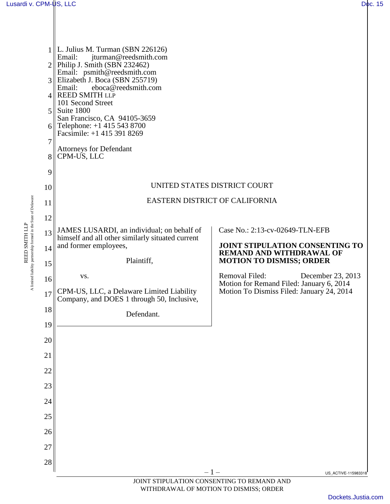REED SMITH LLP A limited liability partnership formed in the State of Delaware

A limited liability partnership formed in the State of Delaware REED SMITH LLP



JOINT STIPULATION CONSENTING TO REMAND AND WITHDRAWAL OF MOTION TO DISMISS; ORDER

[Dockets.Justia.com](http://dockets.justia.com/)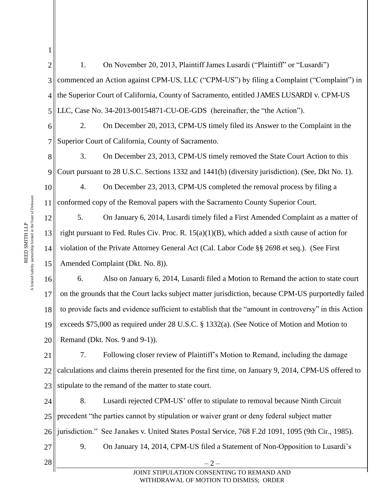4 5 6 7 8 9 10 11 12 13 14 15 16 17 18 19 20 21 22 23 24 25 26 27 the Superior Court of California, County of Sacramento, entitled JAMES LUSARDI v. CPM-US LLC, Case No. 34-2013-00154871-CU-OE-GDS (hereinafter, the "the Action"). 2. On December 20, 2013, CPM-US timely filed its Answer to the Complaint in the Superior Court of California, County of Sacramento. 3. On December 23, 2013, CPM-US timely removed the State Court Action to this Court pursuant to 28 U.S.C. Sections 1332 and 1441(b) (diversity jurisdiction). (See, Dkt No. 1). 4. On December 23, 2013, CPM-US completed the removal process by filing a conformed copy of the Removal papers with the Sacramento County Superior Court. 5. On January 6, 2014, Lusardi timely filed a First Amended Complaint as a matter of right pursuant to Fed. Rules Civ. Proc. R. 15(a)(1)(B), which added a sixth cause of action for violation of the Private Attorney General Act (Cal. Labor Code §§ 2698 et seq.). (See First Amended Complaint (Dkt. No. 8)). 6. Also on January 6, 2014, Lusardi filed a Motion to Remand the action to state court on the grounds that the Court lacks subject matter jurisdiction, because CPM-US purportedly failed to provide facts and evidence sufficient to establish that the "amount in controversy" in this Action exceeds \$75,000 as required under 28 U.S.C. § 1332(a). (See Notice of Motion and Motion to Remand (Dkt. Nos. 9 and 9-1)). 7. Following closer review of Plaintiff's Motion to Remand, including the damage calculations and claims therein presented for the first time, on January 9, 2014, CPM-US offered to stipulate to the remand of the matter to state court. 8. Lusardi rejected CPM-US' offer to stipulate to removal because Ninth Circuit precedent "the parties cannot by stipulation or waiver grant or deny federal subject matter jurisdiction." See Janakes v. United States Postal Service, 768 F.2d 1091, 1095 (9th Cir., 1985). 9. On January 14, 2014, CPM-US filed a Statement of Non-Opposition to Lusardi's

1. On November 20, 2013, Plaintiff James Lusardi ("Plaintiff" or "Lusardi")

commenced an Action against CPM-US, LLC ("CPM-US") by filing a Complaint ("Complaint") in

1

2

3

 $28 \parallel -2 -$ JOINT STIPULATION CONSENTING TO REMAND AND WITHDRAWAL OF MOTION TO DISMISS; ORDER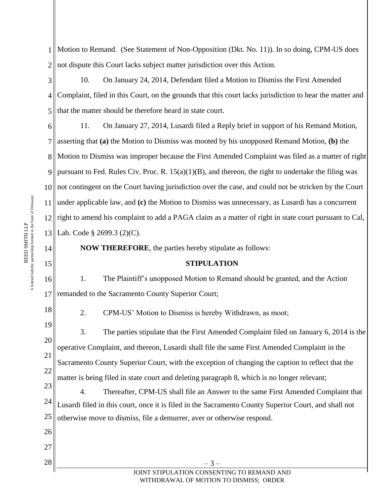1 Motion to Remand. (See Statement of Non-Opposition (Dkt. No. 11)). In so doing, CPM-US does 2 not dispute this Court lacks subject matter jurisdiction over this Action.

3 4 5 10. On January 24, 2014, Defendant filed a Motion to Dismiss the First Amended Complaint, filed in this Court, on the grounds that this court lacks jurisdiction to hear the matter and that the matter should be therefore heard in state court.

6 7 8 9 10 11 12 13 11. On January 27, 2014, Lusardi filed a Reply brief in support of his Remand Motion, asserting that **(a)** the Motion to Dismiss was mooted by his unopposed Remand Motion, **(b)** the Motion to Dismiss was improper because the First Amended Complaint was filed as a matter of right pursuant to Fed. Rules Civ. Proc. R.  $15(a)(1)(B)$ , and thereon, the right to undertake the filing was not contingent on the Court having jurisdiction over the case, and could not be stricken by the Court under applicable law, and **(c)** the Motion to Dismiss was unnecessary, as Lusardi has a concurrent right to amend his complaint to add a PAGA claim as a matter of right in state court pursuant to Cal, Lab. Code § 2699.3 (2)(C).

**NOW THEREFORE**, the parties hereby stipulate as follows:

## **STIPULATION**

16 17 1. The Plaintiff's unopposed Motion to Remand should be granted, and the Action remanded to the Sacramento County Superior Court;

2. CPM-US' Motion to Dismiss is hereby Withdrawn, as moot;

 $28 \parallel -3 -$ 

19 20 21 22 23 3. The parties stipulate that the First Amended Complaint filed on January 6, 2014 is the operative Complaint, and thereon, Lusardi shall file the same First Amended Complaint in the Sacramento County Superior Court, with the exception of changing the caption to reflect that the matter is being filed in state court and deleting paragraph 8, which is no longer relevant;

24 25 4. Thereafter, CPM-US shall file an Answer to the same First Amended Complaint that Lusardi filed in this court, once it is filed in the Sacramento County Superior Court, and shall not otherwise move to dismiss, file a demurrer, aver or otherwise respond.

14

15

18

26

27